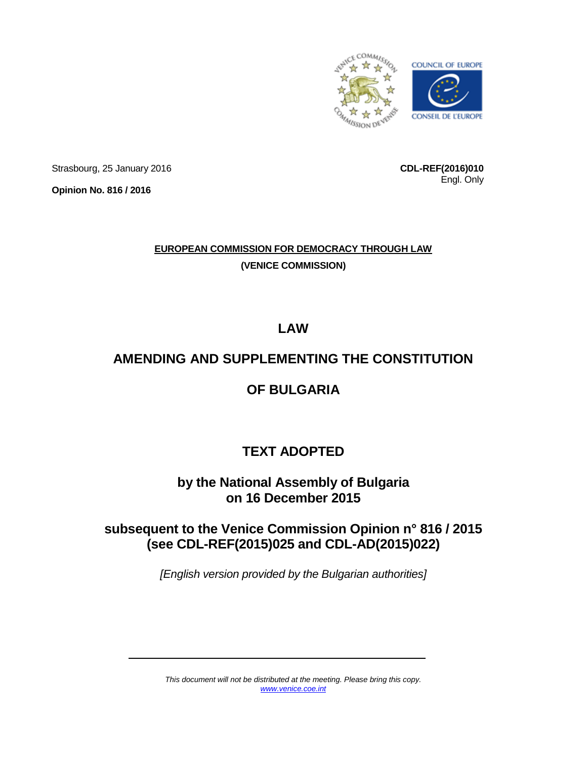

Strasbourg, 25 January 2016

**Opinion No. 816 / 2016**

**CDL-REF(2016)010** Engl. Only

## **EUROPEAN COMMISSION FOR DEMOCRACY THROUGH LAW (VENICE COMMISSION)**

**LAW** 

# **AMENDING AND SUPPLEMENTING THE CONSTITUTION**

## **OF BULGARIA**

# **TEXT ADOPTED**

### **by the National Assembly of Bulgaria on 16 December 2015**

## **subsequent to the Venice Commission Opinion n° 816 / 2015 (see CDL-REF(2015)025 and CDL-AD(2015)022)**

*[English version provided by the Bulgarian authorities]*

*This document will not be distributed at the meeting. Please bring this copy. [www.venice.coe.int](http://www.venice.coe.int/)*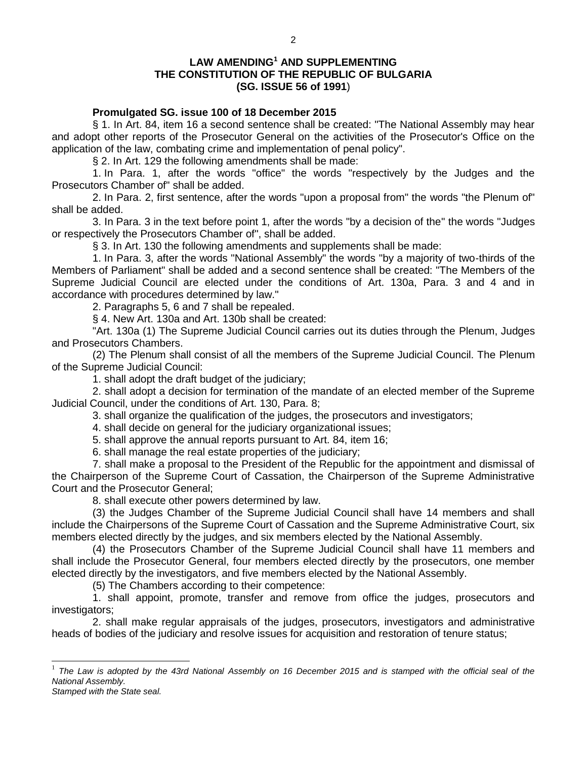#### **LAW AMENDING<sup>1</sup> AND SUPPLEMENTING THE CONSTITUTION OF THE REPUBLIC OF BULGARIA (SG. ISSUE 56 of 1991**)

#### **Promulgated SG. issue 100 of 18 December 2015**

§ 1. In Art. 84, item 16 a second sentence shall be created: "The National Assembly may hear and adopt other reports of the Prosecutor General on the activities of the Prosecutor's Office on the application of the law, combating crime and implementation of penal policy".

§ 2. In Art. 129 the following amendments shall be made:

1. In Para. 1, after the words "office" the words "respectively by the Judges and the Prosecutors Chamber of" shall be added.

2. In Para. 2, first sentence, after the words "upon a proposal from" the words "the Plenum of" shall be added.

3. In Para. 3 in the text before point 1, after the words "by a decision of the" the words "Judges or respectively the Prosecutors Chamber of", shall be added.

§ 3. In Art. 130 the following amendments and supplements shall be made:

1. In Para. 3, after the words "National Assembly" the words "by a majority of two-thirds of the Members of Parliament" shall be added and a second sentence shall be created: "The Members of the Supreme Judicial Council are elected under the conditions of Art. 130a, Para. 3 and 4 and in accordance with procedures determined by law."

2. Paragraphs 5, 6 and 7 shall be repealed.

§ 4. New Art. 130a and Art. 130b shall be created:

"Art. 130a (1) The Supreme Judicial Council carries out its duties through the Plenum, Judges and Prosecutors Chambers.

(2) The Plenum shall consist of all the members of the Supreme Judicial Council. The Plenum of the Supreme Judicial Council:

1. shall adopt the draft budget of the judiciary;

2. shall adopt a decision for termination of the mandate of an elected member of the Supreme Judicial Council, under the conditions of Art. 130, Para. 8;

3. shall organize the qualification of the judges, the prosecutors and investigators;

4. shall decide on general for the judiciary organizational issues;

5. shall approve the annual reports pursuant to Art. 84, item 16;

6. shall manage the real estate properties of the judiciary;

7. shall make a proposal to the President of the Republic for the appointment and dismissal of the Chairperson of the Supreme Court of Cassation, the Chairperson of the Supreme Administrative Court and the Prosecutor General;

8. shall execute other powers determined by law.

(3) the Judges Chamber of the Supreme Judicial Council shall have 14 members and shall include the Chairpersons of the Supreme Court of Cassation and the Supreme Administrative Court, six members elected directly by the judges, and six members elected by the National Assembly.

(4) the Prosecutors Chamber of the Supreme Judicial Council shall have 11 members and shall include the Prosecutor General, four members elected directly by the prosecutors, one member elected directly by the investigators, and five members elected by the National Assembly.

(5) The Chambers according to their competence:

1. shall appoint, promote, transfer and remove from office the judges, prosecutors and investigators;

2. shall make regular appraisals of the judges, prosecutors, investigators and administrative heads of bodies of the judiciary and resolve issues for acquisition and restoration of tenure status;

<sup>1</sup> The Law is adopted by the 43rd National Assembly on 16 December 2015 and is stamped with the official seal of the *National Assembly.*

*Stamped with the State seal.*

 $\overline{a}$